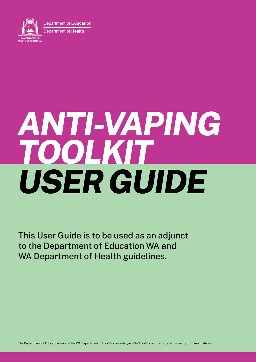



This User Guide is to be used as an adjunct to the Department of Education WA and WA Department of Health guidelines.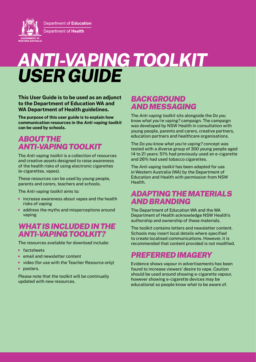Department of Education **Department of Health GOVERNMENT OF**<br>WESTERN AUSTRALIA

# *ANTI-VAPING TOOLKIT USER GUIDE*

**This User Guide is to be used as an adjunct to the Department of Education WA and WA Department of Health guidelines.**

**The purpose of this user guide is to explain how communication resources in the** *Anti-vaping toolkit* **can be used by schools.**

## *ABOUT THE ANTI-VAPING TOOLKIT*

The *Anti-vaping toolkit* is a collection of resources and creative assets designed to raise awareness of the health risks of using electronic cigarettes (e-cigarettes, vapes).

These resources can be used by young people, parents and carers, teachers and schools.

The *Anti-vaping toolkit* aims to:

- increase awareness about vapes and the health risks of vaping
- address the myths and misperceptions around vaping

## *WHAT IS INCLUDED IN THE ANTI-VAPING TOOLKIT?*

The resources available for download include:

- factsheets
- email and newsletter content
- video (for use with the Teacher Resource only)
- posters.

Please note that the toolkit will be continually updated with new resources.

## *BACKGROUND AND MESSAGING*

The *Anti-vaping toolkit* sits alongside the *Do you know what you're vaping?* campaign. The campaign was developed by NSW Health in consultation with young people, parents and carers, creative partners, education partners and healthcare organisations.

The *Do you know what you're vaping?* concept was tested with a diverse group of 300 young people aged 14 to 21 years: 51% had previously used an e-cigarette and 26% had used tobacco cigarettes.

The *Anti-vaping toolkit* has been adapted for use in Western Australia (WA) by the Department of Education and Health with permission from NSW Health.

## *ADAPTING THE MATERIALS AND BRANDING*

The Department of Education WA and the WA Department of Health acknowledge NSW Health's authorship and ownership of these materials.

The toolkit contains letters and newsletter content. Schools may insert local details where specified to create localised communications. However, it is recommended that content provided is not modified.

# *PREFERRED IMAGERY*

Evidence shows vapour in advertisements has been found to increase viewers' desire to vape. Caution should be used around showing e-cigarette vapour, however showing e-cigarette devices may be educational so people know what to be aware of.